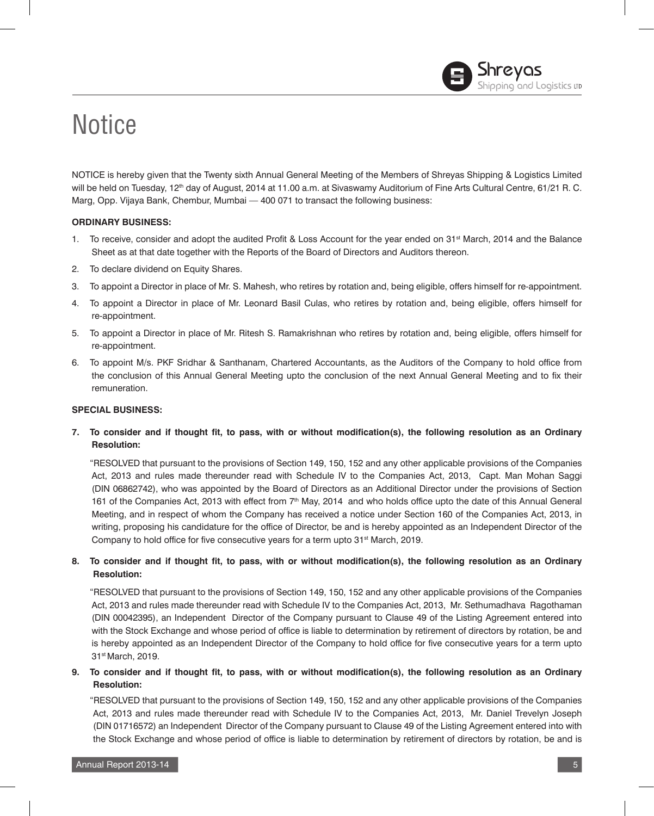# **Notice**

NOTICE is hereby given that the Twenty sixth Annual General Meeting of the Members of Shreyas Shipping & Logistics Limited will be held on Tuesday, 12<sup>th</sup> day of August, 2014 at 11.00 a.m. at Sivaswamy Auditorium of Fine Arts Cultural Centre, 61/21 R. C. Marg, Opp. Vijaya Bank, Chembur, Mumbai — 400 071 to transact the following business:

# **ORDINARY BUSINESS:**

- 1. To receive, consider and adopt the audited Profit & Loss Account for the year ended on  $31<sup>st</sup>$  March, 2014 and the Balance Sheet as at that date together with the Reports of the Board of Directors and Auditors thereon.
- 2. To declare dividend on Equity Shares.
- 3. To appoint a Director in place of Mr. S. Mahesh, who retires by rotation and, being eligible, offers himself for re-appointment.
- 4. To appoint a Director in place of Mr. Leonard Basil Culas, who retires by rotation and, being eligible, offers himself for re-appointment.
- 5. To appoint a Director in place of Mr. Ritesh S. Ramakrishnan who retires by rotation and, being eligible, offers himself for re-appointment.
- 6. To appoint M/s. PKF Sridhar & Santhanam, Chartered Accountants, as the Auditors of the Company to hold office from the conclusion of this Annual General Meeting upto the conclusion of the next Annual General Meeting and to fix their remuneration.

# **SPECIAL BUSINESS:**

**7. To consider and if thought fit, to pass, with or without modification(s), the following resolution as an Ordinary Resolution:**

"RESOLVED that pursuant to the provisions of Section 149, 150, 152 and any other applicable provisions of the Companies Act, 2013 and rules made thereunder read with Schedule IV to the Companies Act, 2013, Capt. Man Mohan Saggi (DIN 06862742), who was appointed by the Board of Directors as an Additional Director under the provisions of Section 161 of the Companies Act, 2013 with effect from 7<sup>th</sup> May, 2014 and who holds office upto the date of this Annual General Meeting, and in respect of whom the Company has received a notice under Section 160 of the Companies Act, 2013, in writing, proposing his candidature for the office of Director, be and is hereby appointed as an Independent Director of the Company to hold office for five consecutive years for a term upto 31<sup>st</sup> March, 2019.

# **8. To consider and if thought fit, to pass, with or without modification(s), the following resolution as an Ordinary Resolution:**

"RESOLVED that pursuant to the provisions of Section 149, 150, 152 and any other applicable provisions of the Companies Act, 2013 and rules made thereunder read with Schedule IV to the Companies Act, 2013, Mr. Sethumadhava Ragothaman (DIN 00042395), an Independent Director of the Company pursuant to Clause 49 of the Listing Agreement entered into with the Stock Exchange and whose period of office is liable to determination by retirement of directors by rotation, be and is hereby appointed as an Independent Director of the Company to hold office for five consecutive years for a term upto 31st March, 2019.

# **9. To consider and if thought fit, to pass, with or without modification(s), the following resolution as an Ordinary Resolution:**

"RESOLVED that pursuant to the provisions of Section 149, 150, 152 and any other applicable provisions of the Companies Act, 2013 and rules made thereunder read with Schedule IV to the Companies Act, 2013, Mr. Daniel Trevelyn Joseph (DIN 01716572) an Independent Director of the Company pursuant to Clause 49 of the Listing Agreement entered into with the Stock Exchange and whose period of office is liable to determination by retirement of directors by rotation, be and is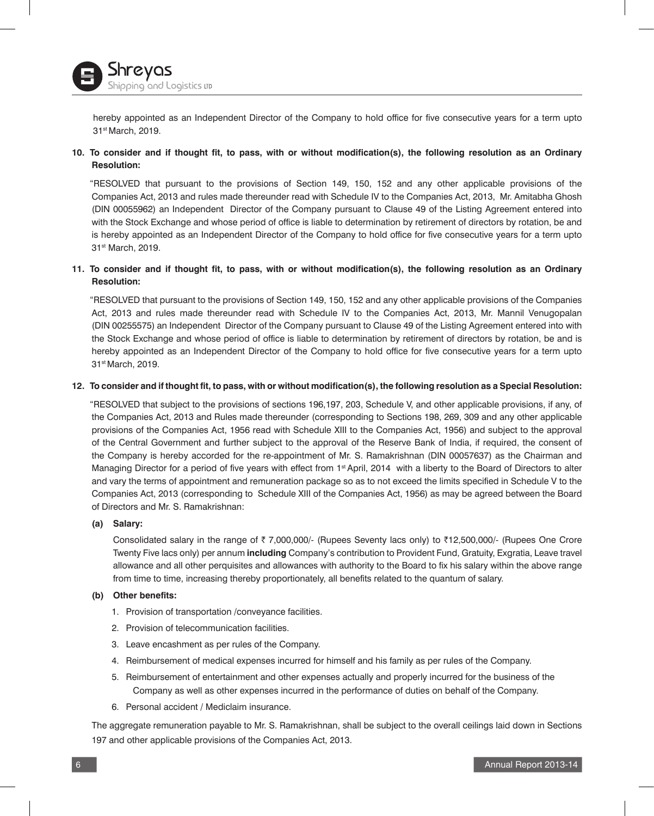

hereby appointed as an Independent Director of the Company to hold office for five consecutive years for a term upto 31st March, 2019.

# **10. To consider and if thought fit, to pass, with or without modification(s), the following resolution as an Ordinary Resolution:**

"RESOLVED that pursuant to the provisions of Section 149, 150, 152 and any other applicable provisions of the Companies Act, 2013 and rules made thereunder read with Schedule IV to the Companies Act, 2013, Mr. Amitabha Ghosh (DIN 00055962) an Independent Director of the Company pursuant to Clause 49 of the Listing Agreement entered into with the Stock Exchange and whose period of office is liable to determination by retirement of directors by rotation, be and is hereby appointed as an Independent Director of the Company to hold office for five consecutive years for a term upto 31st March, 2019.

# **11. To consider and if thought fit, to pass, with or without modification(s), the following resolution as an Ordinary Resolution:**

"RESOLVED that pursuant to the provisions of Section 149, 150, 152 and any other applicable provisions of the Companies Act, 2013 and rules made thereunder read with Schedule IV to the Companies Act, 2013, Mr. Mannil Venugopalan (DIN 00255575) an Independent Director of the Company pursuant to Clause 49 of the Listing Agreement entered into with the Stock Exchange and whose period of office is liable to determination by retirement of directors by rotation, be and is hereby appointed as an Independent Director of the Company to hold office for five consecutive years for a term upto 31st March, 2019.

#### **12. To consider and if thought fit, to pass, with or without modification(s), the following resolution as a Special Resolution:**

"RESOLVED that subject to the provisions of sections 196,197, 203, Schedule V, and other applicable provisions, if any, of the Companies Act, 2013 and Rules made thereunder (corresponding to Sections 198, 269, 309 and any other applicable provisions of the Companies Act, 1956 read with Schedule XIII to the Companies Act, 1956) and subject to the approval of the Central Government and further subject to the approval of the Reserve Bank of India, if required, the consent of the Company is hereby accorded for the re-appointment of Mr. S. Ramakrishnan (DIN 00057637) as the Chairman and Managing Director for a period of five years with effect from 1<sup>st</sup> April, 2014 with a liberty to the Board of Directors to alter and vary the terms of appointment and remuneration package so as to not exceed the limits specified in Schedule V to the Companies Act, 2013 (corresponding to Schedule XIII of the Companies Act, 1956) as may be agreed between the Board of Directors and Mr. S. Ramakrishnan:

# **(a) Salary:**

Consolidated salary in the range of ₹ 7,000,000/- (Rupees Seventy lacs only) to ₹12,500,000/- (Rupees One Crore Twenty Five lacs only) per annum **including** Company's contribution to Provident Fund, Gratuity, Exgratia, Leave travel allowance and all other perquisites and allowances with authority to the Board to fix his salary within the above range from time to time, increasing thereby proportionately, all benefits related to the quantum of salary.

# **(b) Other benefits:**

- 1. Provision of transportation /conveyance facilities.
- 2. Provision of telecommunication facilities.
- 3. Leave encashment as per rules of the Company.
- 4. Reimbursement of medical expenses incurred for himself and his family as per rules of the Company.
- 5. Reimbursement of entertainment and other expenses actually and properly incurred for the business of the Company as well as other expenses incurred in the performance of duties on behalf of the Company.
- 6. Personal accident / Mediclaim insurance.

 The aggregate remuneration payable to Mr. S. Ramakrishnan, shall be subject to the overall ceilings laid down in Sections 197 and other applicable provisions of the Companies Act, 2013.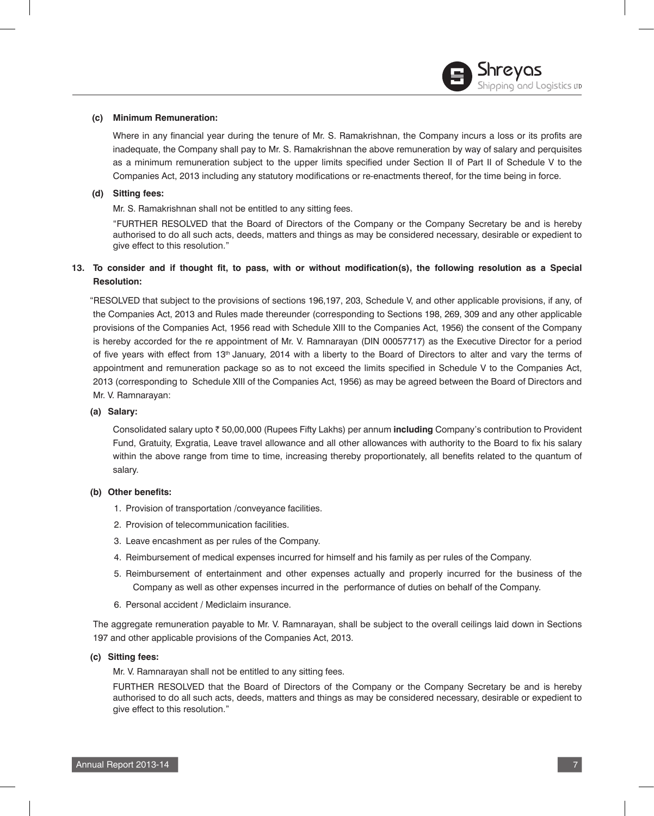# **(c) Minimum Remuneration:**

 Where in any financial year during the tenure of Mr. S. Ramakrishnan, the Company incurs a loss or its profits are inadequate, the Company shall pay to Mr. S. Ramakrishnan the above remuneration by way of salary and perquisites as a minimum remuneration subject to the upper limits specified under Section II of Part II of Schedule V to the Companies Act, 2013 including any statutory modifications or re-enactments thereof, for the time being in force.

# **(d) Sitting fees:**

Mr. S. Ramakrishnan shall not be entitled to any sitting fees.

"FURTHER RESOLVED that the Board of Directors of the Company or the Company Secretary be and is hereby authorised to do all such acts, deeds, matters and things as may be considered necessary, desirable or expedient to give effect to this resolution."

# **13. To consider and if thought fit, to pass, with or without modification(s), the following resolution as a Special Resolution:**

"RESOLVED that subject to the provisions of sections 196,197, 203, Schedule V, and other applicable provisions, if any, of the Companies Act, 2013 and Rules made thereunder (corresponding to Sections 198, 269, 309 and any other applicable provisions of the Companies Act, 1956 read with Schedule XIII to the Companies Act, 1956) the consent of the Company is hereby accorded for the re appointment of Mr. V. Ramnarayan (DIN 00057717) as the Executive Director for a period of five years with effect from 13<sup>th</sup> January, 2014 with a liberty to the Board of Directors to alter and vary the terms of appointment and remuneration package so as to not exceed the limits specified in Schedule V to the Companies Act, 2013 (corresponding to Schedule XIII of the Companies Act, 1956) as may be agreed between the Board of Directors and Mr. V. Ramnarayan:

# **(a) Salary:**

 Consolidated salary upto ` 50,00,000 (Rupees Fifty Lakhs) per annum **including** Company's contribution to Provident Fund, Gratuity, Exgratia, Leave travel allowance and all other allowances with authority to the Board to fix his salary within the above range from time to time, increasing thereby proportionately, all benefits related to the quantum of salary.

# **(b) Other benefits:**

- 1. Provision of transportation /conveyance facilities.
- 2. Provision of telecommunication facilities.
- 3. Leave encashment as per rules of the Company.
- 4. Reimbursement of medical expenses incurred for himself and his family as per rules of the Company.
- 5. Reimbursement of entertainment and other expenses actually and properly incurred for the business of the Company as well as other expenses incurred in the performance of duties on behalf of the Company.
- 6. Personal accident / Mediclaim insurance.

 The aggregate remuneration payable to Mr. V. Ramnarayan, shall be subject to the overall ceilings laid down in Sections 197 and other applicable provisions of the Companies Act, 2013.

# **(c) Sitting fees:**

Mr. V. Ramnarayan shall not be entitled to any sitting fees.

FURTHER RESOLVED that the Board of Directors of the Company or the Company Secretary be and is hereby authorised to do all such acts, deeds, matters and things as may be considered necessary, desirable or expedient to give effect to this resolution."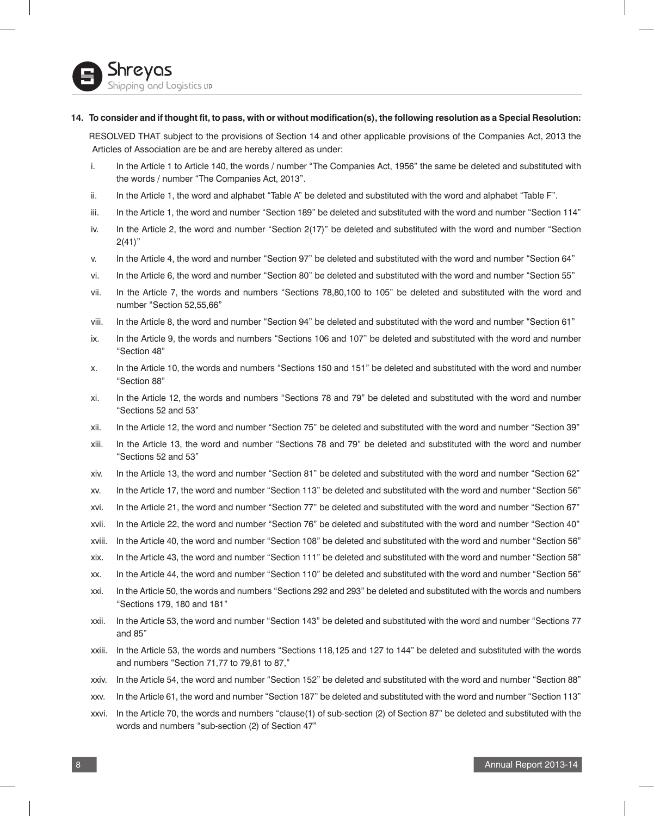#### **14. To consider and if thought fit, to pass, with or without modification(s), the following resolution as a Special Resolution:**

RESOLVED THAT subject to the provisions of Section 14 and other applicable provisions of the Companies Act, 2013 the Articles of Association are be and are hereby altered as under:

- i. In the Article 1 to Article 140, the words / number "The Companies Act, 1956" the same be deleted and substituted with the words / number "The Companies Act, 2013".
- ii. In the Article 1, the word and alphabet "Table A" be deleted and substituted with the word and alphabet "Table F".
- iii. In the Article 1, the word and number "Section 189" be deleted and substituted with the word and number "Section 114"
- iv. In the Article 2, the word and number "Section 2(17)" be deleted and substituted with the word and number "Section  $2(41)$ "
- v. In the Article 4, the word and number "Section 97" be deleted and substituted with the word and number "Section 64"
- vi. In the Article 6, the word and number "Section 80" be deleted and substituted with the word and number "Section 55"
- vii. In the Article 7, the words and numbers "Sections 78,80,100 to 105" be deleted and substituted with the word and number "Section 52,55,66"
- viii. In the Article 8, the word and number "Section 94" be deleted and substituted with the word and number "Section 61"
- ix. In the Article 9, the words and numbers "Sections 106 and 107" be deleted and substituted with the word and number "Section 48"
- x. In the Article 10, the words and numbers "Sections 150 and 151" be deleted and substituted with the word and number "Section 88"
- xi. In the Article 12, the words and numbers "Sections 78 and 79" be deleted and substituted with the word and number "Sections 52 and 53"
- xii. In the Article 12, the word and number "Section 75" be deleted and substituted with the word and number "Section 39"
- xiii. In the Article 13, the word and number "Sections 78 and 79" be deleted and substituted with the word and number "Sections 52 and 53"
- xiv. In the Article 13, the word and number "Section 81" be deleted and substituted with the word and number "Section 62"
- xv. In the Article 17, the word and number "Section 113" be deleted and substituted with the word and number "Section 56"
- xvi. In the Article 21, the word and number "Section 77" be deleted and substituted with the word and number "Section 67"
- xvii. In the Article 22, the word and number "Section 76" be deleted and substituted with the word and number "Section 40"
- xviii. In the Article 40, the word and number "Section 108" be deleted and substituted with the word and number "Section 56"
- xix. In the Article 43, the word and number "Section 111" be deleted and substituted with the word and number "Section 58"
- xx. In the Article 44, the word and number "Section 110" be deleted and substituted with the word and number "Section 56"
- xxi. In the Article 50, the words and numbers "Sections 292 and 293" be deleted and substituted with the words and numbers "Sections 179, 180 and 181"
- xxii. In the Article 53, the word and number "Section 143" be deleted and substituted with the word and number "Sections 77 and 85"
- xxiii. In the Article 53, the words and numbers "Sections 118,125 and 127 to 144" be deleted and substituted with the words and numbers "Section 71,77 to 79,81 to 87,"
- xxiv. In the Article 54, the word and number "Section 152" be deleted and substituted with the word and number "Section 88"
- xxv. In the Article 61, the word and number "Section 187" be deleted and substituted with the word and number "Section 113"
- xxvi. In the Article 70, the words and numbers "clause(1) of sub-section (2) of Section 87" be deleted and substituted with the words and numbers "sub-section (2) of Section 47"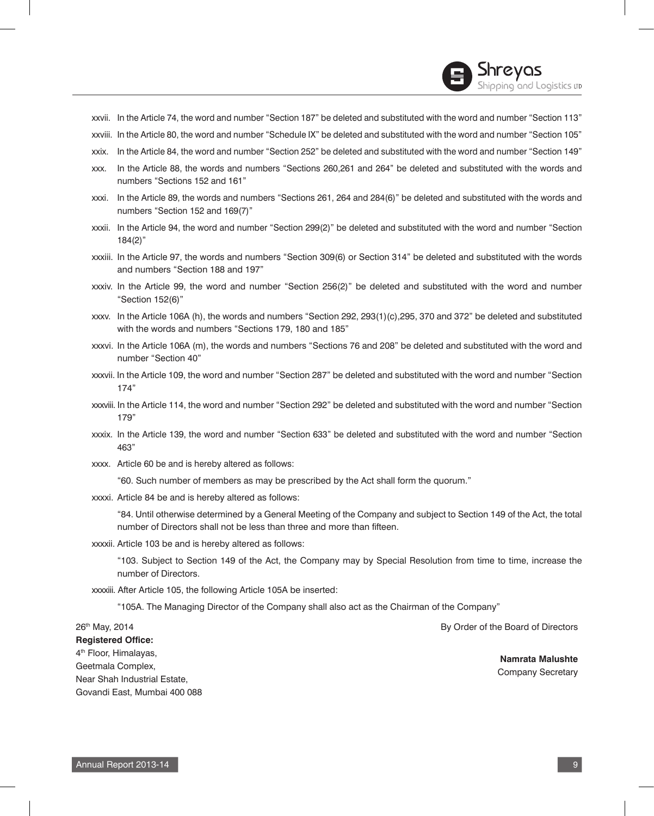xxvii. In the Article 74, the word and number "Section 187" be deleted and substituted with the word and number "Section 113"

Shreyas

pping and Logistics up

- xxviii. In the Article 80, the word and number "Schedule IX" be deleted and substituted with the word and number "Section 105"
- xxix. In the Article 84, the word and number "Section 252" be deleted and substituted with the word and number "Section 149"
- xxx. In the Article 88, the words and numbers "Sections 260,261 and 264" be deleted and substituted with the words and numbers "Sections 152 and 161"
- xxxi. In the Article 89, the words and numbers "Sections 261, 264 and 284(6)" be deleted and substituted with the words and numbers "Section 152 and 169(7)"
- xxxii. In the Article 94, the word and number "Section 299(2)" be deleted and substituted with the word and number "Section 184(2)"
- xxxiii. In the Article 97, the words and numbers "Section 309(6) or Section 314" be deleted and substituted with the words and numbers "Section 188 and 197"
- xxxiv. In the Article 99, the word and number "Section 256(2)" be deleted and substituted with the word and number "Section 152(6)"
- xxxv. In the Article 106A (h), the words and numbers "Section 292, 293(1)(c),295, 370 and 372" be deleted and substituted with the words and numbers "Sections 179, 180 and 185"
- xxxvi. In the Article 106A (m), the words and numbers "Sections 76 and 208" be deleted and substituted with the word and number "Section 40"
- xxxvii. In the Article 109, the word and number "Section 287" be deleted and substituted with the word and number "Section 174"
- xxxviii. In the Article 114, the word and number "Section 292" be deleted and substituted with the word and number "Section 179"
- xxxix. In the Article 139, the word and number "Section 633" be deleted and substituted with the word and number "Section 463"
- xxxx. Article 60 be and is hereby altered as follows:

"60. Such number of members as may be prescribed by the Act shall form the quorum."

xxxxi. Article 84 be and is hereby altered as follows:

 "84. Until otherwise determined by a General Meeting of the Company and subject to Section 149 of the Act, the total number of Directors shall not be less than three and more than fifteen.

xxxxii. Article 103 be and is hereby altered as follows:

 "103. Subject to Section 149 of the Act, the Company may by Special Resolution from time to time, increase the number of Directors.

xxxxiii. After Article 105, the following Article 105A be inserted:

"105A. The Managing Director of the Company shall also act as the Chairman of the Company"

26th May, 2014 **Registered Office:** 4th Floor, Himalayas, Geetmala Complex, Near Shah Industrial Estate, Govandi East, Mumbai 400 088 By Order of the Board of Directors **Namrata Malushte** Company Secretary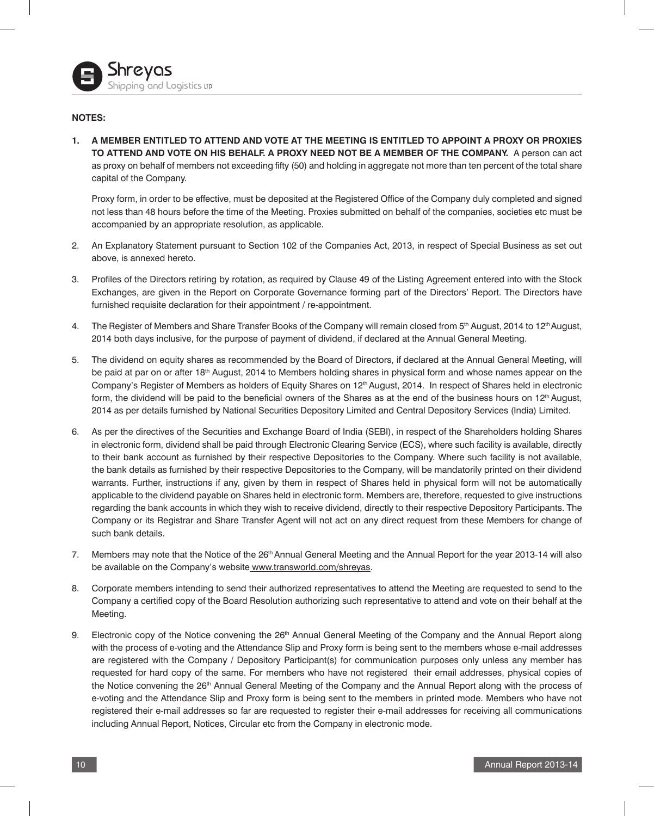# **NOTES:**

**1. A MEMBER ENTITLED TO ATTEND AND VOTE AT THE MEETING IS ENTITLED TO APPOINT A PROXY OR PROXIES TO ATTEND AND VOTE ON HIS BEHALF. A PROXY NEED NOT BE A MEMBER OF THE COMPANY.** A person can act as proxy on behalf of members not exceeding fifty (50) and holding in aggregate not more than ten percent of the total share capital of the Company.

Proxy form, in order to be effective, must be deposited at the Registered Office of the Company duly completed and signed not less than 48 hours before the time of the Meeting. Proxies submitted on behalf of the companies, societies etc must be accompanied by an appropriate resolution, as applicable.

- 2. An Explanatory Statement pursuant to Section 102 of the Companies Act, 2013, in respect of Special Business as set out above, is annexed hereto.
- 3. Profiles of the Directors retiring by rotation, as required by Clause 49 of the Listing Agreement entered into with the Stock Exchanges, are given in the Report on Corporate Governance forming part of the Directors' Report. The Directors have furnished requisite declaration for their appointment / re-appointment.
- 4. The Register of Members and Share Transfer Books of the Company will remain closed from 5<sup>th</sup> August, 2014 to 12<sup>th</sup> August, 2014 both days inclusive, for the purpose of payment of dividend, if declared at the Annual General Meeting.
- 5. The dividend on equity shares as recommended by the Board of Directors, if declared at the Annual General Meeting, will be paid at par on or after 18<sup>th</sup> August, 2014 to Members holding shares in physical form and whose names appear on the Company's Register of Members as holders of Equity Shares on 12<sup>th</sup> August, 2014. In respect of Shares held in electronic form, the dividend will be paid to the beneficial owners of the Shares as at the end of the business hours on 12<sup>th</sup> August, 2014 as per details furnished by National Securities Depository Limited and Central Depository Services (India) Limited.
- 6. As per the directives of the Securities and Exchange Board of India (SEBI), in respect of the Shareholders holding Shares in electronic form, dividend shall be paid through Electronic Clearing Service (ECS), where such facility is available, directly to their bank account as furnished by their respective Depositories to the Company. Where such facility is not available, the bank details as furnished by their respective Depositories to the Company, will be mandatorily printed on their dividend warrants. Further, instructions if any, given by them in respect of Shares held in physical form will not be automatically applicable to the dividend payable on Shares held in electronic form. Members are, therefore, requested to give instructions regarding the bank accounts in which they wish to receive dividend, directly to their respective Depository Participants. The Company or its Registrar and Share Transfer Agent will not act on any direct request from these Members for change of such bank details.
- 7. Members may note that the Notice of the 26<sup>th</sup> Annual General Meeting and the Annual Report for the year 2013-14 will also be available on the Company's website www.transworld.com/shreyas.
- 8. Corporate members intending to send their authorized representatives to attend the Meeting are requested to send to the Company a certified copy of the Board Resolution authorizing such representative to attend and vote on their behalf at the Meeting.
- 9. Electronic copy of the Notice convening the 26<sup>th</sup> Annual General Meeting of the Company and the Annual Report along with the process of e-voting and the Attendance Slip and Proxy form is being sent to the members whose e-mail addresses are registered with the Company / Depository Participant(s) for communication purposes only unless any member has requested for hard copy of the same. For members who have not registered their email addresses, physical copies of the Notice convening the 26<sup>th</sup> Annual General Meeting of the Company and the Annual Report along with the process of e-voting and the Attendance Slip and Proxy form is being sent to the members in printed mode. Members who have not registered their e-mail addresses so far are requested to register their e-mail addresses for receiving all communications including Annual Report, Notices, Circular etc from the Company in electronic mode.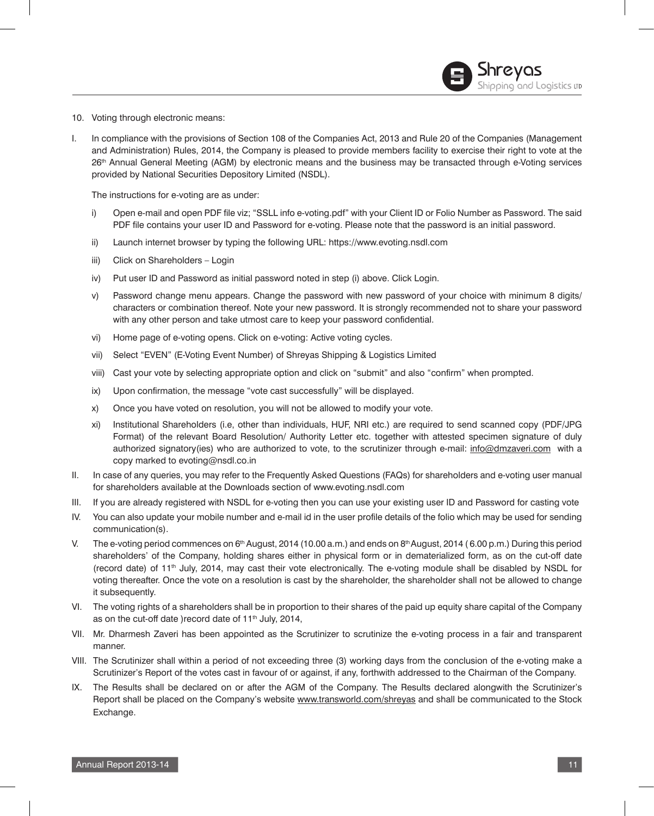- 10. Voting through electronic means:
- I. In compliance with the provisions of Section 108 of the Companies Act, 2013 and Rule 20 of the Companies (Management and Administration) Rules, 2014, the Company is pleased to provide members facility to exercise their right to vote at the 26th Annual General Meeting (AGM) by electronic means and the business may be transacted through e-Voting services provided by National Securities Depository Limited (NSDL).

The instructions for e-voting are as under:

- i) Open e-mail and open PDF file viz; "SSLL info e-voting.pdf" with your Client ID or Folio Number as Password. The said PDF file contains your user ID and Password for e-voting. Please note that the password is an initial password.
- ii) Launch internet browser by typing the following URL: https://www.evoting.nsdl.com
- iii) Click on Shareholders Login
- iv) Put user ID and Password as initial password noted in step (i) above. Click Login.
- v) Password change menu appears. Change the password with new password of your choice with minimum 8 digits/ characters or combination thereof. Note your new password. It is strongly recommended not to share your password with any other person and take utmost care to keep your password confidential.
- vi) Home page of e-voting opens. Click on e-voting: Active voting cycles.
- vii) Select "EVEN" (E-Voting Event Number) of Shreyas Shipping & Logistics Limited
- viii) Cast your vote by selecting appropriate option and click on "submit" and also "confirm" when prompted.
- ix) Upon confirmation, the message "vote cast successfully" will be displayed.
- x) Once you have voted on resolution, you will not be allowed to modify your vote.
- xi) Institutional Shareholders (i.e, other than individuals, HUF, NRI etc.) are required to send scanned copy (PDF/JPG Format) of the relevant Board Resolution/ Authority Letter etc. together with attested specimen signature of duly authorized signatory(ies) who are authorized to vote, to the scrutinizer through e-mail: info@dmzaveri.com with a copy marked to evoting@nsdl.co.in
- II. In case of any queries, you may refer to the Frequently Asked Questions (FAQs) for shareholders and e-voting user manual for shareholders available at the Downloads section of www.evoting.nsdl.com
- III. If you are already registered with NSDL for e-voting then you can use your existing user ID and Password for casting vote
- IV. You can also update your mobile number and e-mail id in the user profile details of the folio which may be used for sending communication(s).
- V. The e-voting period commences on 6<sup>th</sup> August, 2014 (10.00 a.m.) and ends on 8<sup>th</sup> August, 2014 (6.00 p.m.) During this period shareholders' of the Company, holding shares either in physical form or in dematerialized form, as on the cut-off date (record date) of 11th July, 2014, may cast their vote electronically. The e-voting module shall be disabled by NSDL for voting thereafter. Once the vote on a resolution is cast by the shareholder, the shareholder shall not be allowed to change it subsequently.
- VI. The voting rights of a shareholders shall be in proportion to their shares of the paid up equity share capital of the Company as on the cut-off date ) record date of 11<sup>th</sup> July, 2014,
- VII. Mr. Dharmesh Zaveri has been appointed as the Scrutinizer to scrutinize the e-voting process in a fair and transparent manner.
- VIII. The Scrutinizer shall within a period of not exceeding three (3) working days from the conclusion of the e-voting make a Scrutinizer's Report of the votes cast in favour of or against, if any, forthwith addressed to the Chairman of the Company.
- IX. The Results shall be declared on or after the AGM of the Company. The Results declared alongwith the Scrutinizer's Report shall be placed on the Company's website www.transworld.com/shreyas and shall be communicated to the Stock Exchange.

**Shreyas**<br>Shipping and Logistics up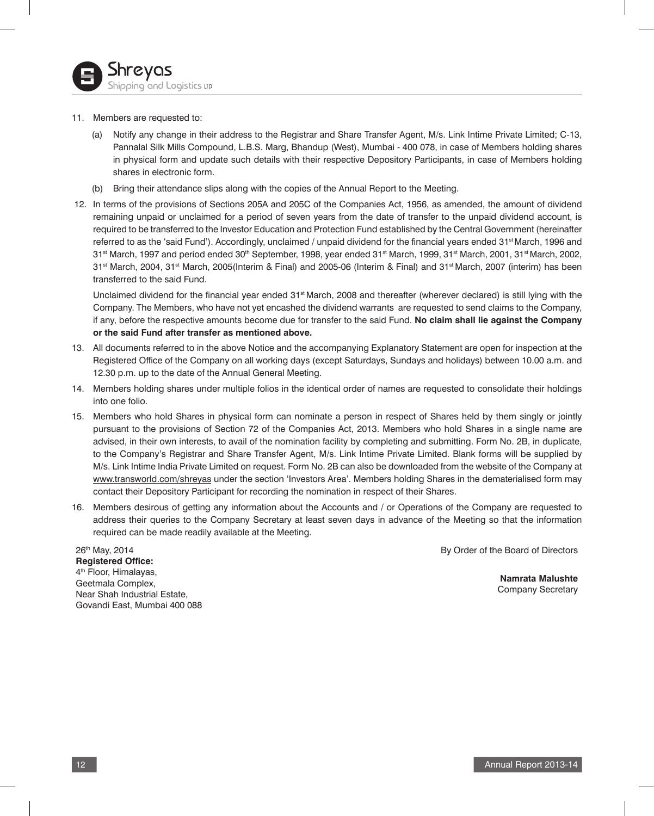

#### 11. Members are requested to:

- (a) Notify any change in their address to the Registrar and Share Transfer Agent, M/s. Link Intime Private Limited; C-13, Pannalal Silk Mills Compound, L.B.S. Marg, Bhandup (West), Mumbai - 400 078, in case of Members holding shares in physical form and update such details with their respective Depository Participants, in case of Members holding shares in electronic form.
- (b) Bring their attendance slips along with the copies of the Annual Report to the Meeting.
- 12. In terms of the provisions of Sections 205A and 205C of the Companies Act, 1956, as amended, the amount of dividend remaining unpaid or unclaimed for a period of seven years from the date of transfer to the unpaid dividend account, is required to be transferred to the Investor Education and Protection Fund established by the Central Government (hereinafter referred to as the 'said Fund'). Accordingly, unclaimed / unpaid dividend for the financial years ended 31<sup>st</sup> March, 1996 and 31<sup>st</sup> March, 1997 and period ended 30<sup>th</sup> September, 1998, year ended 31<sup>st</sup> March, 1999, 31<sup>st</sup> March, 2001, 31<sup>st</sup> March, 2002, 31<sup>st</sup> March, 2004, 31<sup>st</sup> March, 2005(Interim & Final) and 2005-06 (Interim & Final) and 31<sup>st</sup> March, 2007 (interim) has been transferred to the said Fund.

Unclaimed dividend for the financial year ended 31<sup>st</sup> March, 2008 and thereafter (wherever declared) is still lying with the Company. The Members, who have not yet encashed the dividend warrants are requested to send claims to the Company, if any, before the respective amounts become due for transfer to the said Fund. **No claim shall lie against the Company or the said Fund after transfer as mentioned above.**

- 13. All documents referred to in the above Notice and the accompanying Explanatory Statement are open for inspection at the Registered Office of the Company on all working days (except Saturdays, Sundays and holidays) between 10.00 a.m. and 12.30 p.m. up to the date of the Annual General Meeting.
- 14. Members holding shares under multiple folios in the identical order of names are requested to consolidate their holdings into one folio.
- 15. Members who hold Shares in physical form can nominate a person in respect of Shares held by them singly or jointly pursuant to the provisions of Section 72 of the Companies Act, 2013. Members who hold Shares in a single name are advised, in their own interests, to avail of the nomination facility by completing and submitting. Form No. 2B, in duplicate, to the Company's Registrar and Share Transfer Agent, M/s. Link Intime Private Limited. Blank forms will be supplied by M/s. Link Intime India Private Limited on request. Form No. 2B can also be downloaded from the website of the Company at www.transworld.com/shreyas under the section 'Investors Area'. Members holding Shares in the dematerialised form may contact their Depository Participant for recording the nomination in respect of their Shares.
- 16. Members desirous of getting any information about the Accounts and / or Operations of the Company are requested to address their queries to the Company Secretary at least seven days in advance of the Meeting so that the information required can be made readily available at the Meeting.

By Order of the Board of Directors

26th May, 2014 **Registered Office:** 4<sup>th</sup> Floor, Himalayas, Geetmala Complex, Near Shah Industrial Estate, Govandi East, Mumbai 400 088

**Namrata Malushte** Company Secretary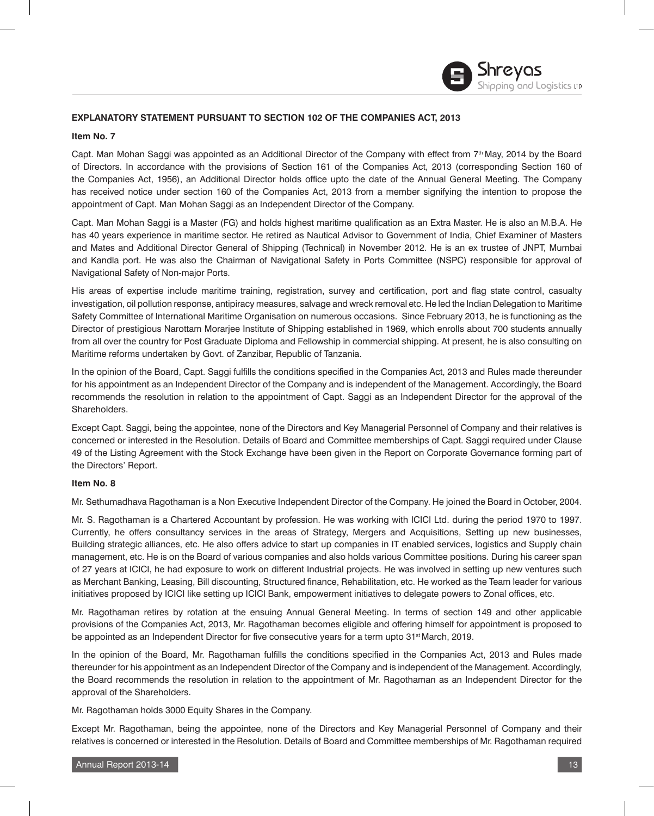# **EXPLANATORY STATEMENT PURSUANT TO SECTION 102 OF THE COMPANIES ACT, 2013**

#### **Item No. 7**

Capt. Man Mohan Saggi was appointed as an Additional Director of the Company with effect from 7th May, 2014 by the Board of Directors. In accordance with the provisions of Section 161 of the Companies Act, 2013 (corresponding Section 160 of the Companies Act, 1956), an Additional Director holds office upto the date of the Annual General Meeting. The Company has received notice under section 160 of the Companies Act, 2013 from a member signifying the intention to propose the appointment of Capt. Man Mohan Saggi as an Independent Director of the Company.

Capt. Man Mohan Saggi is a Master (FG) and holds highest maritime qualification as an Extra Master. He is also an M.B.A. He has 40 years experience in maritime sector. He retired as Nautical Advisor to Government of India, Chief Examiner of Masters and Mates and Additional Director General of Shipping (Technical) in November 2012. He is an ex trustee of JNPT, Mumbai and Kandla port. He was also the Chairman of Navigational Safety in Ports Committee (NSPC) responsible for approval of Navigational Safety of Non-major Ports.

His areas of expertise include maritime training, registration, survey and certification, port and flag state control, casualty investigation, oil pollution response, antipiracy measures, salvage and wreck removal etc. He led the Indian Delegation to Maritime Safety Committee of International Maritime Organisation on numerous occasions. Since February 2013, he is functioning as the Director of prestigious Narottam Morarjee Institute of Shipping established in 1969, which enrolls about 700 students annually from all over the country for Post Graduate Diploma and Fellowship in commercial shipping. At present, he is also consulting on Maritime reforms undertaken by Govt. of Zanzibar, Republic of Tanzania.

In the opinion of the Board, Capt. Saggi fulfills the conditions specified in the Companies Act, 2013 and Rules made thereunder for his appointment as an Independent Director of the Company and is independent of the Management. Accordingly, the Board recommends the resolution in relation to the appointment of Capt. Saggi as an Independent Director for the approval of the Shareholders.

Except Capt. Saggi, being the appointee, none of the Directors and Key Managerial Personnel of Company and their relatives is concerned or interested in the Resolution. Details of Board and Committee memberships of Capt. Saggi required under Clause 49 of the Listing Agreement with the Stock Exchange have been given in the Report on Corporate Governance forming part of the Directors' Report.

#### **Item No. 8**

Mr. Sethumadhava Ragothaman is a Non Executive Independent Director of the Company. He joined the Board in October, 2004.

Mr. S. Ragothaman is a Chartered Accountant by profession. He was working with ICICI Ltd. during the period 1970 to 1997. Currently, he offers consultancy services in the areas of Strategy, Mergers and Acquisitions, Setting up new businesses, Building strategic alliances, etc. He also offers advice to start up companies in IT enabled services, logistics and Supply chain management, etc. He is on the Board of various companies and also holds various Committee positions. During his career span of 27 years at ICICI, he had exposure to work on different Industrial projects. He was involved in setting up new ventures such as Merchant Banking, Leasing, Bill discounting, Structured finance, Rehabilitation, etc. He worked as the Team leader for various initiatives proposed by ICICI like setting up ICICI Bank, empowerment initiatives to delegate powers to Zonal offices, etc.

Mr. Ragothaman retires by rotation at the ensuing Annual General Meeting. In terms of section 149 and other applicable provisions of the Companies Act, 2013, Mr. Ragothaman becomes eligible and offering himself for appointment is proposed to be appointed as an Independent Director for five consecutive years for a term upto 31<sup>st</sup> March, 2019.

In the opinion of the Board, Mr. Ragothaman fulfills the conditions specified in the Companies Act, 2013 and Rules made thereunder for his appointment as an Independent Director of the Company and is independent of the Management. Accordingly, the Board recommends the resolution in relation to the appointment of Mr. Ragothaman as an Independent Director for the approval of the Shareholders.

Mr. Ragothaman holds 3000 Equity Shares in the Company.

Except Mr. Ragothaman, being the appointee, none of the Directors and Key Managerial Personnel of Company and their relatives is concerned or interested in the Resolution. Details of Board and Committee memberships of Mr. Ragothaman required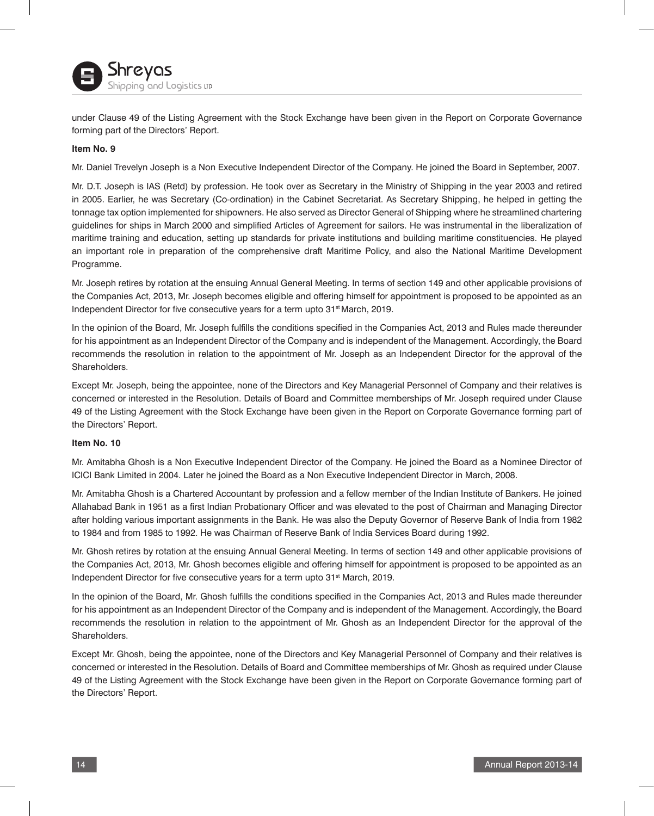

under Clause 49 of the Listing Agreement with the Stock Exchange have been given in the Report on Corporate Governance forming part of the Directors' Report.

#### **Item No. 9**

Mr. Daniel Trevelyn Joseph is a Non Executive Independent Director of the Company. He joined the Board in September, 2007.

Mr. D.T. Joseph is IAS (Retd) by profession. He took over as Secretary in the Ministry of Shipping in the year 2003 and retired in 2005. Earlier, he was Secretary (Co-ordination) in the Cabinet Secretariat. As Secretary Shipping, he helped in getting the tonnage tax option implemented for shipowners. He also served as Director General of Shipping where he streamlined chartering guidelines for ships in March 2000 and simplified Articles of Agreement for sailors. He was instrumental in the liberalization of maritime training and education, setting up standards for private institutions and building maritime constituencies. He played an important role in preparation of the comprehensive draft Maritime Policy, and also the National Maritime Development Programme.

Mr. Joseph retires by rotation at the ensuing Annual General Meeting. In terms of section 149 and other applicable provisions of the Companies Act, 2013, Mr. Joseph becomes eligible and offering himself for appointment is proposed to be appointed as an Independent Director for five consecutive years for a term upto 31<sup>st</sup> March, 2019.

In the opinion of the Board, Mr. Joseph fulfills the conditions specified in the Companies Act, 2013 and Rules made thereunder for his appointment as an Independent Director of the Company and is independent of the Management. Accordingly, the Board recommends the resolution in relation to the appointment of Mr. Joseph as an Independent Director for the approval of the Shareholders.

Except Mr. Joseph, being the appointee, none of the Directors and Key Managerial Personnel of Company and their relatives is concerned or interested in the Resolution. Details of Board and Committee memberships of Mr. Joseph required under Clause 49 of the Listing Agreement with the Stock Exchange have been given in the Report on Corporate Governance forming part of the Directors' Report.

#### **Item No. 10**

Mr. Amitabha Ghosh is a Non Executive Independent Director of the Company. He joined the Board as a Nominee Director of ICICI Bank Limited in 2004. Later he joined the Board as a Non Executive Independent Director in March, 2008.

Mr. Amitabha Ghosh is a Chartered Accountant by profession and a fellow member of the Indian Institute of Bankers. He joined Allahabad Bank in 1951 as a first Indian Probationary Officer and was elevated to the post of Chairman and Managing Director after holding various important assignments in the Bank. He was also the Deputy Governor of Reserve Bank of India from 1982 to 1984 and from 1985 to 1992. He was Chairman of Reserve Bank of India Services Board during 1992.

Mr. Ghosh retires by rotation at the ensuing Annual General Meeting. In terms of section 149 and other applicable provisions of the Companies Act, 2013, Mr. Ghosh becomes eligible and offering himself for appointment is proposed to be appointed as an Independent Director for five consecutive years for a term upto 31<sup>st</sup> March, 2019.

In the opinion of the Board, Mr. Ghosh fulfills the conditions specified in the Companies Act, 2013 and Rules made thereunder for his appointment as an Independent Director of the Company and is independent of the Management. Accordingly, the Board recommends the resolution in relation to the appointment of Mr. Ghosh as an Independent Director for the approval of the Shareholders.

Except Mr. Ghosh, being the appointee, none of the Directors and Key Managerial Personnel of Company and their relatives is concerned or interested in the Resolution. Details of Board and Committee memberships of Mr. Ghosh as required under Clause 49 of the Listing Agreement with the Stock Exchange have been given in the Report on Corporate Governance forming part of the Directors' Report.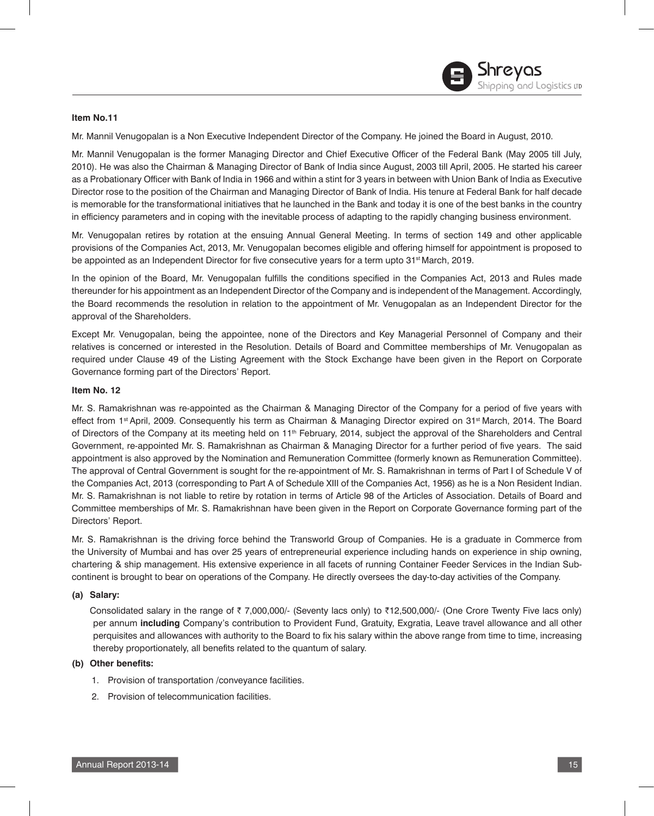# **Item No.11**

Mr. Mannil Venugopalan is a Non Executive Independent Director of the Company. He joined the Board in August, 2010.

Mr. Mannil Venugopalan is the former Managing Director and Chief Executive Officer of the Federal Bank (May 2005 till July, 2010). He was also the Chairman & Managing Director of Bank of India since August, 2003 till April, 2005. He started his career as a Probationary Officer with Bank of India in 1966 and within a stint for 3 years in between with Union Bank of India as Executive Director rose to the position of the Chairman and Managing Director of Bank of India. His tenure at Federal Bank for half decade is memorable for the transformational initiatives that he launched in the Bank and today it is one of the best banks in the country in efficiency parameters and in coping with the inevitable process of adapting to the rapidly changing business environment.

Mr. Venugopalan retires by rotation at the ensuing Annual General Meeting. In terms of section 149 and other applicable provisions of the Companies Act, 2013, Mr. Venugopalan becomes eligible and offering himself for appointment is proposed to be appointed as an Independent Director for five consecutive years for a term upto 31<sup>st</sup> March, 2019.

In the opinion of the Board, Mr. Venugopalan fulfills the conditions specified in the Companies Act, 2013 and Rules made thereunder for his appointment as an Independent Director of the Company and is independent of the Management. Accordingly, the Board recommends the resolution in relation to the appointment of Mr. Venugopalan as an Independent Director for the approval of the Shareholders.

Except Mr. Venugopalan, being the appointee, none of the Directors and Key Managerial Personnel of Company and their relatives is concerned or interested in the Resolution. Details of Board and Committee memberships of Mr. Venugopalan as required under Clause 49 of the Listing Agreement with the Stock Exchange have been given in the Report on Corporate Governance forming part of the Directors' Report.

# **Item No. 12**

Mr. S. Ramakrishnan was re-appointed as the Chairman & Managing Director of the Company for a period of five years with effect from 1<sup>st</sup> April, 2009. Consequently his term as Chairman & Managing Director expired on 31<sup>st</sup> March, 2014. The Board of Directors of the Company at its meeting held on 11<sup>th</sup> February, 2014, subject the approval of the Shareholders and Central Government, re-appointed Mr. S. Ramakrishnan as Chairman & Managing Director for a further period of five years. The said appointment is also approved by the Nomination and Remuneration Committee (formerly known as Remuneration Committee). The approval of Central Government is sought for the re-appointment of Mr. S. Ramakrishnan in terms of Part I of Schedule V of the Companies Act, 2013 (corresponding to Part A of Schedule XIII of the Companies Act, 1956) as he is a Non Resident Indian. Mr. S. Ramakrishnan is not liable to retire by rotation in terms of Article 98 of the Articles of Association. Details of Board and Committee memberships of Mr. S. Ramakrishnan have been given in the Report on Corporate Governance forming part of the Directors' Report.

Mr. S. Ramakrishnan is the driving force behind the Transworld Group of Companies. He is a graduate in Commerce from the University of Mumbai and has over 25 years of entrepreneurial experience including hands on experience in ship owning, chartering & ship management. His extensive experience in all facets of running Container Feeder Services in the Indian Subcontinent is brought to bear on operations of the Company. He directly oversees the day-to-day activities of the Company.

# **(a) Salary:**

Consolidated salary in the range of  $\bar{\tau}$  7,000,000/- (Seventy lacs only) to  $\bar{\tau}$ 12,500,000/- (One Crore Twenty Five lacs only) per annum **including** Company's contribution to Provident Fund, Gratuity, Exgratia, Leave travel allowance and all other perquisites and allowances with authority to the Board to fix his salary within the above range from time to time, increasing thereby proportionately, all benefits related to the quantum of salary.

# **(b) Other benefits:**

- 1. Provision of transportation /conveyance facilities.
- 2. Provision of telecommunication facilities.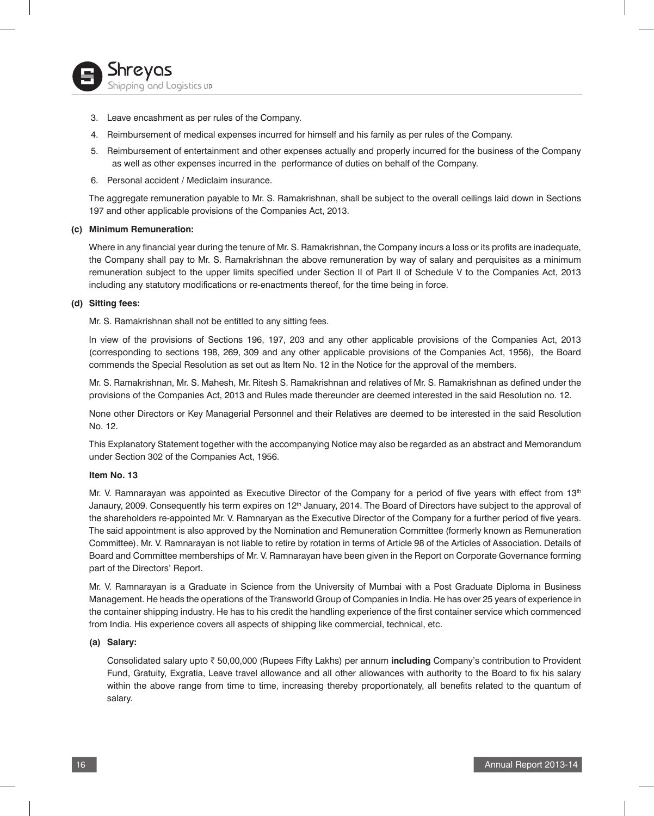- 3. Leave encashment as per rules of the Company.
- 4. Reimbursement of medical expenses incurred for himself and his family as per rules of the Company.
- 5. Reimbursement of entertainment and other expenses actually and properly incurred for the business of the Company as well as other expenses incurred in the performance of duties on behalf of the Company.
- 6. Personal accident / Mediclaim insurance.

The aggregate remuneration payable to Mr. S. Ramakrishnan, shall be subject to the overall ceilings laid down in Sections 197 and other applicable provisions of the Companies Act, 2013.

#### **(c) Minimum Remuneration:**

Where in any financial year during the tenure of Mr. S. Ramakrishnan, the Company incurs a loss or its profits are inadequate, the Company shall pay to Mr. S. Ramakrishnan the above remuneration by way of salary and perquisites as a minimum remuneration subject to the upper limits specified under Section II of Part II of Schedule V to the Companies Act, 2013 including any statutory modifications or re-enactments thereof, for the time being in force.

#### **(d) Sitting fees:**

Mr. S. Ramakrishnan shall not be entitled to any sitting fees.

In view of the provisions of Sections 196, 197, 203 and any other applicable provisions of the Companies Act, 2013 (corresponding to sections 198, 269, 309 and any other applicable provisions of the Companies Act, 1956), the Board commends the Special Resolution as set out as Item No. 12 in the Notice for the approval of the members.

Mr. S. Ramakrishnan, Mr. S. Mahesh, Mr. Ritesh S. Ramakrishnan and relatives of Mr. S. Ramakrishnan as defined under the provisions of the Companies Act, 2013 and Rules made thereunder are deemed interested in the said Resolution no. 12.

None other Directors or Key Managerial Personnel and their Relatives are deemed to be interested in the said Resolution No. 12.

This Explanatory Statement together with the accompanying Notice may also be regarded as an abstract and Memorandum under Section 302 of the Companies Act, 1956.

#### **Item No. 13**

Mr. V. Ramnarayan was appointed as Executive Director of the Company for a period of five years with effect from 13<sup>th</sup> Janaury, 2009. Consequently his term expires on 12<sup>th</sup> January, 2014. The Board of Directors have subject to the approval of the shareholders re-appointed Mr. V. Ramnaryan as the Executive Director of the Company for a further period of five years. The said appointment is also approved by the Nomination and Remuneration Committee (formerly known as Remuneration Committee). Mr. V. Ramnarayan is not liable to retire by rotation in terms of Article 98 of the Articles of Association. Details of Board and Committee memberships of Mr. V. Ramnarayan have been given in the Report on Corporate Governance forming part of the Directors' Report.

Mr. V. Ramnarayan is a Graduate in Science from the University of Mumbai with a Post Graduate Diploma in Business Management. He heads the operations of the Transworld Group of Companies in India. He has over 25 years of experience in the container shipping industry. He has to his credit the handling experience of the first container service which commenced from India. His experience covers all aspects of shipping like commercial, technical, etc.

#### **(a) Salary:**

Consolidated salary upto ₹ 50,00,000 (Rupees Fifty Lakhs) per annum including Company's contribution to Provident Fund, Gratuity, Exgratia, Leave travel allowance and all other allowances with authority to the Board to fix his salary within the above range from time to time, increasing thereby proportionately, all benefits related to the quantum of salary.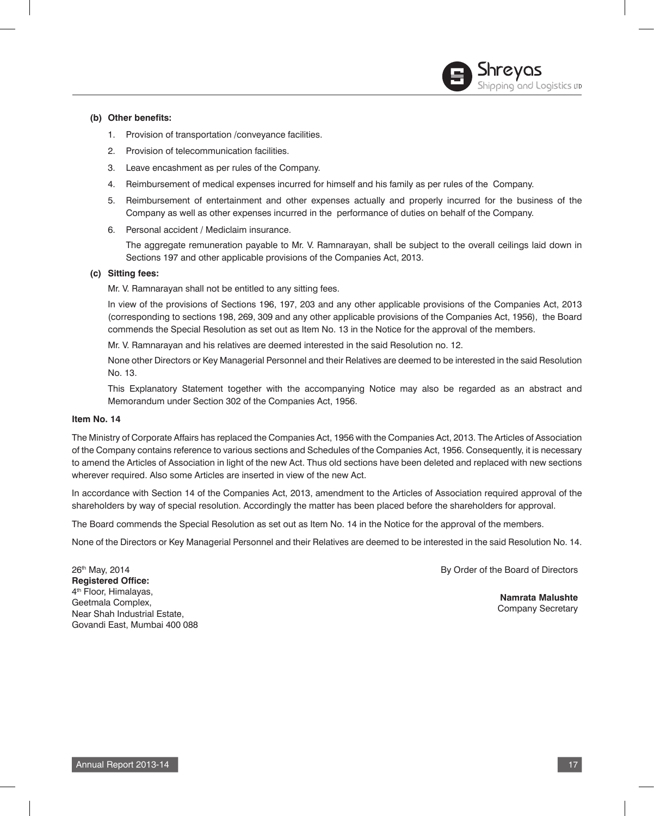# Shreyas Shipping and Logistics up

# **(b) Other benefits:**

- 1. Provision of transportation /conveyance facilities.
- 2. Provision of telecommunication facilities.
- 3. Leave encashment as per rules of the Company.
- 4. Reimbursement of medical expenses incurred for himself and his family as per rules of the Company.
- 5. Reimbursement of entertainment and other expenses actually and properly incurred for the business of the Company as well as other expenses incurred in the performance of duties on behalf of the Company.
- 6. Personal accident / Mediclaim insurance.

 The aggregate remuneration payable to Mr. V. Ramnarayan, shall be subject to the overall ceilings laid down in Sections 197 and other applicable provisions of the Companies Act, 2013.

# **(c) Sitting fees:**

Mr. V. Ramnarayan shall not be entitled to any sitting fees.

 In view of the provisions of Sections 196, 197, 203 and any other applicable provisions of the Companies Act, 2013 (corresponding to sections 198, 269, 309 and any other applicable provisions of the Companies Act, 1956), the Board commends the Special Resolution as set out as Item No. 13 in the Notice for the approval of the members.

Mr. V. Ramnarayan and his relatives are deemed interested in the said Resolution no. 12.

 None other Directors or Key Managerial Personnel and their Relatives are deemed to be interested in the said Resolution No. 13.

 This Explanatory Statement together with the accompanying Notice may also be regarded as an abstract and Memorandum under Section 302 of the Companies Act, 1956.

#### **Item No. 14**

The Ministry of Corporate Affairs has replaced the Companies Act, 1956 with the Companies Act, 2013. The Articles of Association of the Company contains reference to various sections and Schedules of the Companies Act, 1956. Consequently, it is necessary to amend the Articles of Association in light of the new Act. Thus old sections have been deleted and replaced with new sections wherever required. Also some Articles are inserted in view of the new Act.

In accordance with Section 14 of the Companies Act, 2013, amendment to the Articles of Association required approval of the shareholders by way of special resolution. Accordingly the matter has been placed before the shareholders for approval.

The Board commends the Special Resolution as set out as Item No. 14 in the Notice for the approval of the members.

None of the Directors or Key Managerial Personnel and their Relatives are deemed to be interested in the said Resolution No. 14.

26th May, 2014 **Registered Office:** 4th Floor, Himalayas, Geetmala Complex, Near Shah Industrial Estate, Govandi East, Mumbai 400 088 By Order of the Board of Directors

**Namrata Malushte** Company Secretary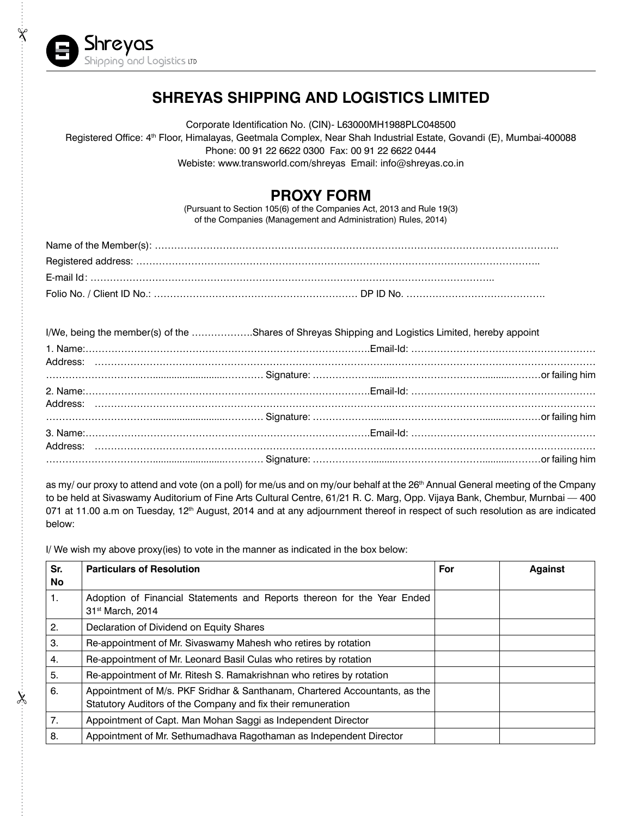

Ÿ

 $\chi$ 

# **Shreyas Shipping and Logistics Limited**

Corporate Identification No. (CIN)- L63000MH1988PLC048500 Registered Office: 4th Floor, Himalayas, Geetmala Complex, Near Shah Industrial Estate, Govandi (E), Mumbai-400088 Phone: 00 91 22 6622 0300 Fax: 00 91 22 6622 0444 Webiste: www.transworld.com/shreyas Email: info@shreyas.co.in

# **PROXY FORM**

(Pursuant to Section 105(6) of the Companies Act, 2013 and Rule 19(3) of the Companies (Management and Administration) Rules, 2014)

| Folio No. / Client ID No.: ……………………………………………………… DP ID No. ………………………………………… |  |
|-----------------------------------------------------------------------------|--|

| I/We, being the member(s) of the Shares of Shreyas Shipping and Logistics Limited, hereby appoint |  |  |
|---------------------------------------------------------------------------------------------------|--|--|
|                                                                                                   |  |  |
|                                                                                                   |  |  |
|                                                                                                   |  |  |
|                                                                                                   |  |  |
|                                                                                                   |  |  |
|                                                                                                   |  |  |
|                                                                                                   |  |  |
|                                                                                                   |  |  |
|                                                                                                   |  |  |

as my/ our proxy to attend and vote (on a poll) for me/us and on my/our behalf at the 26<sup>th</sup> Annual General meeting of the Cmpany to be held at Sivaswamy Auditorium of Fine Arts Cultural Centre, 61/21 R. C. Marg, Opp. Vijaya Bank, Chembur, Murnbai — 400 071 at 11.00 a.m on Tuesday, 12<sup>th</sup> August, 2014 and at any adjournment thereof in respect of such resolution as are indicated below:

I/ We wish my above proxy(ies) to vote in the manner as indicated in the box below:

| Sr.<br><b>No</b> | <b>Particulars of Resolution</b>                                                                                                           | For | <b>Against</b> |
|------------------|--------------------------------------------------------------------------------------------------------------------------------------------|-----|----------------|
| 1.               | Adoption of Financial Statements and Reports thereon for the Year Ended<br>31 <sup>st</sup> March, 2014                                    |     |                |
| 2.               | Declaration of Dividend on Equity Shares                                                                                                   |     |                |
| 3.               | Re-appointment of Mr. Sivaswamy Mahesh who retires by rotation                                                                             |     |                |
| 4.               | Re-appointment of Mr. Leonard Basil Culas who retires by rotation                                                                          |     |                |
| 5.               | Re-appointment of Mr. Ritesh S. Ramakrishnan who retires by rotation                                                                       |     |                |
| 6.               | Appointment of M/s. PKF Sridhar & Santhanam, Chartered Accountants, as the<br>Statutory Auditors of the Company and fix their remuneration |     |                |
| 7.               | Appointment of Capt. Man Mohan Saggi as Independent Director                                                                               |     |                |
| 8.               | Appointment of Mr. Sethumadhava Ragothaman as Independent Director                                                                         |     |                |